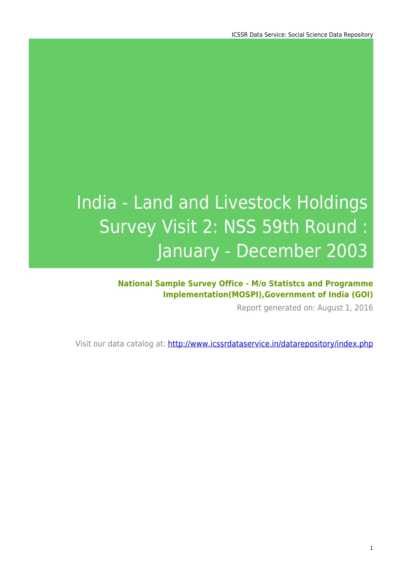# India - Land and Livestock Holdings Survey Visit 2: NSS 59th Round : January - December 2003

### **National Sample Survey Office - M/o Statistcs and Programme Implementation(MOSPI),Government of India (GOI)**

Report generated on: August 1, 2016

Visit our data catalog at: http://www.icssrdataservice.in/datarepository/index.php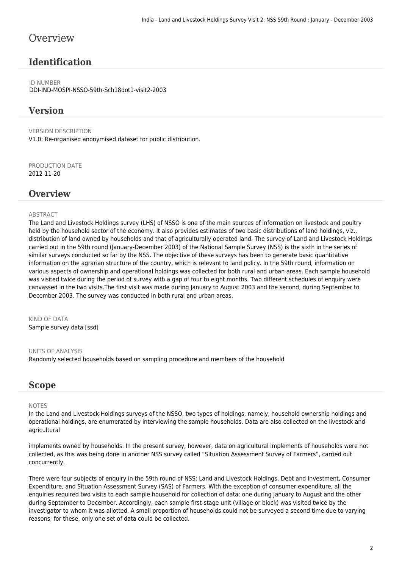### **Overview**

### **Identification**

ID NUMBER DDI-IND-MOSPI-NSSO-59th-Sch18dot1-visit2-2003

### **Version**

VERSION DESCRIPTION V1.0; Re-organised anonymised dataset for public distribution.

PRODUCTION DATE 2012-11-20

### **Overview**

#### **ABSTRACT**

The Land and Livestock Holdings survey (LHS) of NSSO is one of the main sources of information on livestock and poultry held by the household sector of the economy. It also provides estimates of two basic distributions of land holdings, viz., distribution of land owned by households and that of agriculturally operated land. The survey of Land and Livestock Holdings carried out in the 59th round (January-December 2003) of the National Sample Survey (NSS) is the sixth in the series of similar surveys conducted so far by the NSS. The objective of these surveys has been to generate basic quantitative information on the agrarian structure of the country, which is relevant to land policy. In the 59th round, information on various aspects of ownership and operational holdings was collected for both rural and urban areas. Each sample household was visited twice during the period of survey with a gap of four to eight months. Two different schedules of enquiry were canvassed in the two visits.The first visit was made during January to August 2003 and the second, during September to December 2003. The survey was conducted in both rural and urban areas.

KIND OF DATA Sample survey data [ssd]

UNITS OF ANALYSIS Randomly selected households based on sampling procedure and members of the household

### **Scope**

#### **NOTES**

In the Land and Livestock Holdings surveys of the NSSO, two types of holdings, namely, household ownership holdings and operational holdings, are enumerated by interviewing the sample households. Data are also collected on the livestock and agricultural

implements owned by households. In the present survey, however, data on agricultural implements of households were not collected, as this was being done in another NSS survey called "Situation Assessment Survey of Farmers", carried out concurrently.

There were four subjects of enquiry in the 59th round of NSS: Land and Livestock Holdings, Debt and Investment, Consumer Expenditure, and Situation Assessment Survey (SAS) of Farmers. With the exception of consumer expenditure, all the enquiries required two visits to each sample household for collection of data: one during January to August and the other during September to December. Accordingly, each sample first-stage unit (village or block) was visited twice by the investigator to whom it was allotted. A small proportion of households could not be surveyed a second time due to varying reasons; for these, only one set of data could be collected.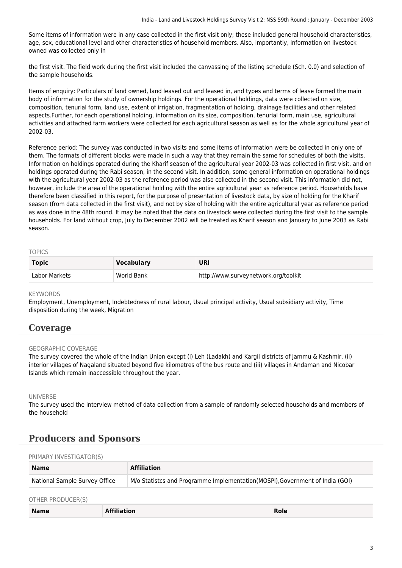Some items of information were in any case collected in the first visit only; these included general household characteristics, age, sex, educational level and other characteristics of household members. Also, importantly, information on livestock owned was collected only in

the first visit. The field work during the first visit included the canvassing of the listing schedule (Sch. 0.0) and selection of the sample households.

Items of enquiry: Particulars of land owned, land leased out and leased in, and types and terms of lease formed the main body of information for the study of ownership holdings. For the operational holdings, data were collected on size, composition, tenurial form, land use, extent of irrigation, fragmentation of holding, drainage facilities and other related aspects.Further, for each operational holding, information on its size, composition, tenurial form, main use, agricultural activities and attached farm workers were collected for each agricultural season as well as for the whole agricultural year of 2002-03.

Reference period: The survey was conducted in two visits and some items of information were be collected in only one of them. The formats of different blocks were made in such a way that they remain the same for schedules of both the visits. Information on holdings operated during the Kharif season of the agricultural year 2002-03 was collected in first visit, and on holdings operated during the Rabi season, in the second visit. In addition, some general information on operational holdings with the agricultural year 2002-03 as the reference period was also collected in the second visit. This information did not, however, include the area of the operational holding with the entire agricultural year as reference period. Households have therefore been classified in this report, for the purpose of presentation of livestock data, by size of holding for the Kharif season (from data collected in the first visit), and not by size of holding with the entire agricultural year as reference period as was done in the 48th round. It may be noted that the data on livestock were collected during the first visit to the sample households. For land without crop, July to December 2002 will be treated as Kharif season and January to June 2003 as Rabi season.

#### TOPICS

| <b>Topic</b>  | <b>Vocabulary</b> | URI                                  |
|---------------|-------------------|--------------------------------------|
| Labor Markets | World Bank        | http://www.surveynetwork.org/toolkit |

#### KEYWORDS

Employment, Unemployment, Indebtedness of rural labour, Usual principal activity, Usual subsidiary activity, Time disposition during the week, Migration

### **Coverage**

### GEOGRAPHIC COVERAGE

The survey covered the whole of the Indian Union except (i) Leh (Ladakh) and Kargil districts of Jammu & Kashmir, (ii) interior villages of Nagaland situated beyond five kilometres of the bus route and (iii) villages in Andaman and Nicobar Islands which remain inaccessible throughout the year.

#### UNIVERSE

The survey used the interview method of data collection from a sample of randomly selected households and members of the household

### **Producers and Sponsors**

#### PRIMARY INVESTIGATOR(S)

| <b>Name</b>                   | <b>Affiliation</b>                                                           |
|-------------------------------|------------------------------------------------------------------------------|
| National Sample Survey Office | M/o Statistcs and Programme Implementation(MOSPI), Government of India (GOI) |

#### OTHER PRODUCER(S)

| <b>Affiliati</b><br><b>Name</b><br>Role<br>iation<br>____ |  |
|-----------------------------------------------------------|--|
|-----------------------------------------------------------|--|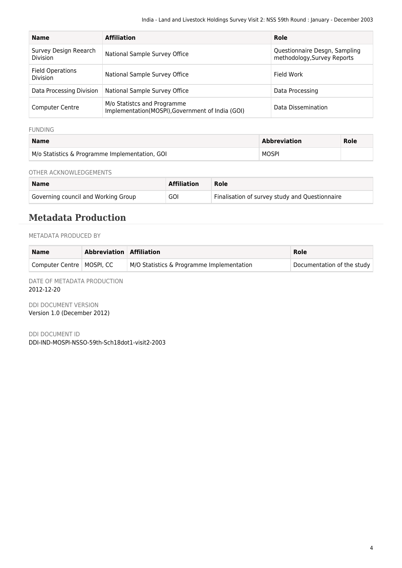| <b>Name</b>                                | <b>Affiliation</b>                                                              | Role                                                         |
|--------------------------------------------|---------------------------------------------------------------------------------|--------------------------------------------------------------|
| Survey Design Reearch<br><b>Division</b>   | National Sample Survey Office                                                   | Questionnaire Desgn, Sampling<br>methodology, Survey Reports |
| <b>Field Operations</b><br><b>Division</b> | National Sample Survey Office                                                   | Field Work                                                   |
| Data Processing Division                   | National Sample Survey Office                                                   | Data Processing                                              |
| <b>Computer Centre</b>                     | M/o Statistcs and Programme<br>Implementation(MOSPI), Government of India (GOI) | Data Dissemination                                           |

### FUNDING

| <b>Name</b>                                    | <b>Abbreviation</b> | <b>Role</b> |
|------------------------------------------------|---------------------|-------------|
| M/o Statistics & Programme Implementation, GOI | MOSPI               |             |

#### OTHER ACKNOWLEDGEMENTS

| <b>Name</b>                         | <b>Affiliation</b> | Role                                           |
|-------------------------------------|--------------------|------------------------------------------------|
| Governing council and Working Group | <b>GOI</b>         | Finalisation of survey study and Questionnaire |

### **Metadata Production**

METADATA PRODUCED BY

| <b>Name</b>                 | Abbreviation Affiliation |                                           | Role                       |
|-----------------------------|--------------------------|-------------------------------------------|----------------------------|
| Computer Centre   MOSPI, CC |                          | M/O Statistics & Programme Implementation | Documentation of the study |

DATE OF METADATA PRODUCTION 2012-12-20

DDI DOCUMENT VERSION Version 1.0 (December 2012)

DDI DOCUMENT ID DDI-IND-MOSPI-NSSO-59th-Sch18dot1-visit2-2003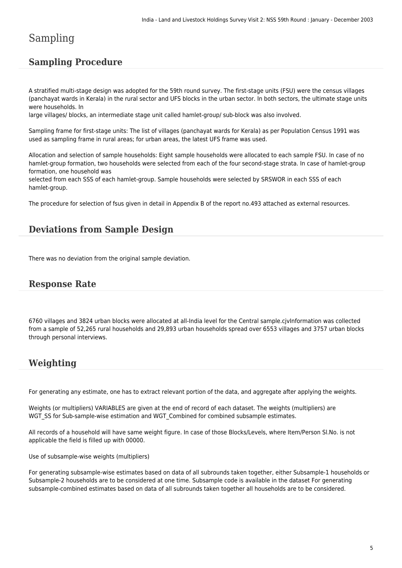## Sampling

### **Sampling Procedure**

A stratified multi-stage design was adopted for the 59th round survey. The first-stage units (FSU) were the census villages (panchayat wards in Kerala) in the rural sector and UFS blocks in the urban sector. In both sectors, the ultimate stage units were households. In

large villages/ blocks, an intermediate stage unit called hamlet-group/ sub-block was also involved.

Sampling frame for first-stage units: The list of villages (panchayat wards for Kerala) as per Population Census 1991 was used as sampling frame in rural areas; for urban areas, the latest UFS frame was used.

Allocation and selection of sample households: Eight sample households were allocated to each sample FSU. In case of no hamlet-group formation, two households were selected from each of the four second-stage strata. In case of hamlet-group formation, one household was

selected from each SSS of each hamlet-group. Sample households were selected by SRSWOR in each SSS of each hamlet-group.

The procedure for selection of fsus given in detail in Appendix B of the report no.493 attached as external resources.

### **Deviations from Sample Design**

There was no deviation from the original sample deviation.

### **Response Rate**

6760 villages and 3824 urban blocks were allocated at all-India level for the Central sample.cjvInformation was collected from a sample of 52,265 rural households and 29,893 urban households spread over 6553 villages and 3757 urban blocks through personal interviews.

### **Weighting**

For generating any estimate, one has to extract relevant portion of the data, and aggregate after applying the weights.

Weights (or multipliers) VARIABLES are given at the end of record of each dataset. The weights (multipliers) are WGT\_SS for Sub-sample-wise estimation and WGT\_Combined for combined subsample estimates.

All records of a household will have same weight figure. In case of those Blocks/Levels, where Item/Person Sl.No. is not applicable the field is filled up with 00000.

Use of subsample-wise weights (multipliers)

For generating subsample-wise estimates based on data of all subrounds taken together, either Subsample-1 households or Subsample-2 households are to be considered at one time. Subsample code is available in the dataset For generating subsample-combined estimates based on data of all subrounds taken together all households are to be considered.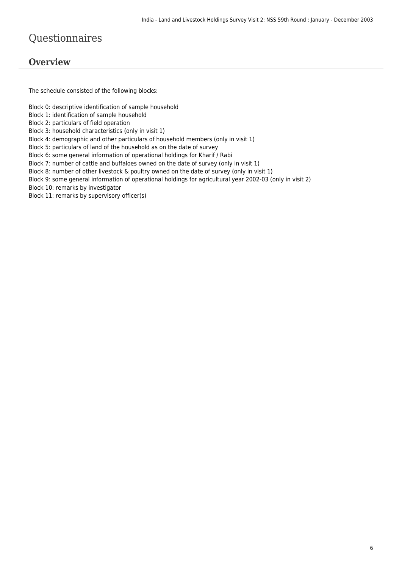## Questionnaires

### **Overview**

The schedule consisted of the following blocks:

- Block 0: descriptive identification of sample household
- Block 1: identification of sample household
- Block 2: particulars of field operation
- Block 3: household characteristics (only in visit 1)
- Block 4: demographic and other particulars of household members (only in visit 1)
- Block 5: particulars of land of the household as on the date of survey
- Block 6: some general information of operational holdings for Kharif / Rabi
- Block 7: number of cattle and buffaloes owned on the date of survey (only in visit 1)
- Block 8: number of other livestock & poultry owned on the date of survey (only in visit 1)
- Block 9: some general information of operational holdings for agricultural year 2002-03 (only in visit 2)
- Block 10: remarks by investigator

Block 11: remarks by supervisory officer(s)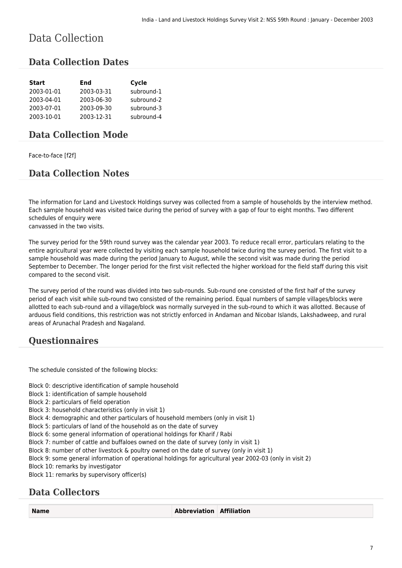## Data Collection

### **Data Collection Dates**

| <b>Start</b> | End        | Cycle      |
|--------------|------------|------------|
| 2003-01-01   | 2003-03-31 | subround-1 |
| 2003-04-01   | 2003-06-30 | subround-2 |
| 2003-07-01   | 2003-09-30 | subround-3 |
| 2003-10-01   | 2003-12-31 | subround-4 |

### **Data Collection Mode**

Face-to-face [f2f]

### **Data Collection Notes**

The information for Land and Livestock Holdings survey was collected from a sample of households by the interview method. Each sample household was visited twice during the period of survey with a gap of four to eight months. Two different schedules of enquiry were

canvassed in the two visits.

The survey period for the 59th round survey was the calendar year 2003. To reduce recall error, particulars relating to the entire agricultural year were collected by visiting each sample household twice during the survey period. The first visit to a sample household was made during the period January to August, while the second visit was made during the period September to December. The longer period for the first visit reflected the higher workload for the field staff during this visit compared to the second visit.

The survey period of the round was divided into two sub-rounds. Sub-round one consisted of the first half of the survey period of each visit while sub-round two consisted of the remaining period. Equal numbers of sample villages/blocks were allotted to each sub-round and a village/block was normally surveyed in the sub-round to which it was allotted. Because of arduous field conditions, this restriction was not strictly enforced in Andaman and Nicobar Islands, Lakshadweep, and rural areas of Arunachal Pradesh and Nagaland.

### **Questionnaires**

The schedule consisted of the following blocks:

Block 0: descriptive identification of sample household

- Block 1: identification of sample household
- Block 2: particulars of field operation
- Block 3: household characteristics (only in visit 1)
- Block 4: demographic and other particulars of household members (only in visit 1)
- Block 5: particulars of land of the household as on the date of survey

Block 6: some general information of operational holdings for Kharif / Rabi

Block 7: number of cattle and buffaloes owned on the date of survey (only in visit 1)

Block 8: number of other livestock & poultry owned on the date of survey (only in visit 1)

Block 9: some general information of operational holdings for agricultural year 2002-03 (only in visit 2)

Block 10: remarks by investigator

Block 11: remarks by supervisory officer(s)

### **Data Collectors**

**Name Abbreviation Affiliation**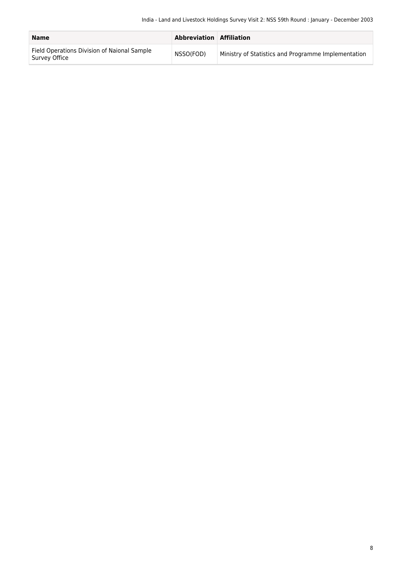| <b>Name</b>                                                  | Abbreviation   Affiliation |                                                     |
|--------------------------------------------------------------|----------------------------|-----------------------------------------------------|
| Field Operations Division of Naional Sample<br>Survey Office | NSSO(FOD)                  | Ministry of Statistics and Programme Implementation |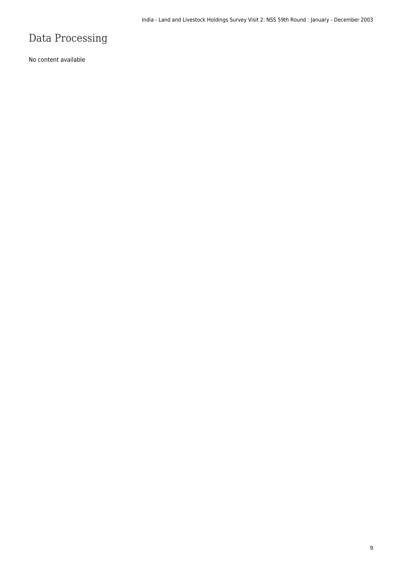## Data Processing

No content available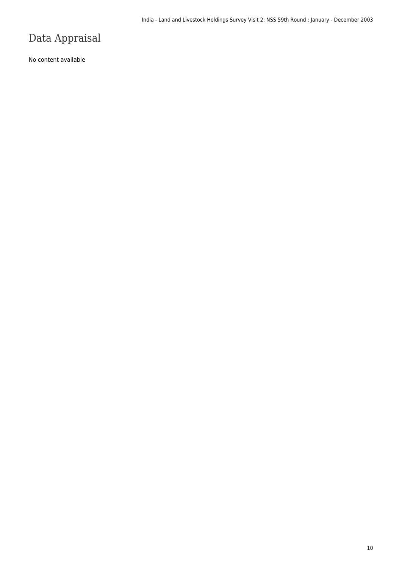## Data Appraisal

No content available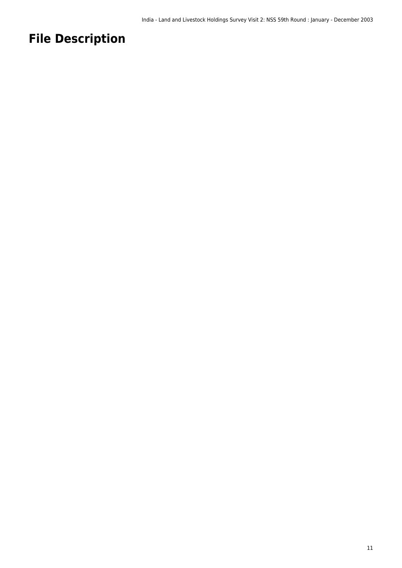## **File Description**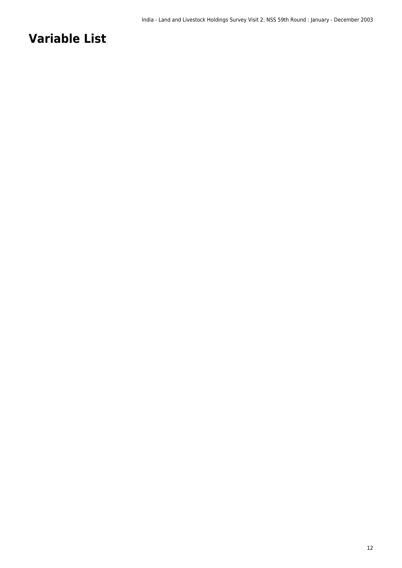## **Variable List**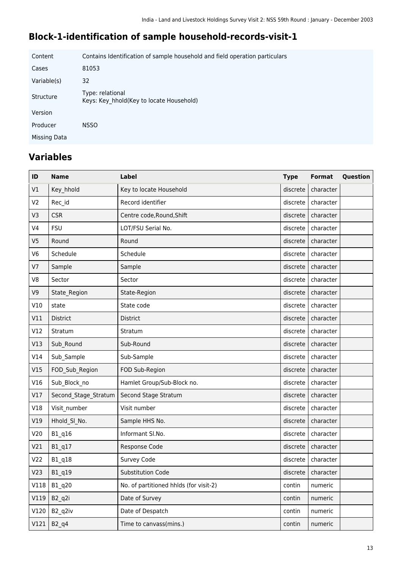## **Block-1-identification of sample household-records-visit-1**

| Content      | Contains Identification of sample household and field operation particulars |
|--------------|-----------------------------------------------------------------------------|
| Cases        | 81053                                                                       |
| Variable(s)  | 32                                                                          |
| Structure    | Type: relational<br>Keys: Key hhold(Key to locate Household)                |
| Version      |                                                                             |
| Producer     | <b>NSSO</b>                                                                 |
| Missing Data |                                                                             |

## **Variables**

| ID              | <b>Name</b>          | <b>Label</b>                           | <b>Type</b> | <b>Format</b>          | Question |
|-----------------|----------------------|----------------------------------------|-------------|------------------------|----------|
| V1              | Key_hhold            | Key to locate Household                | discrete    | character              |          |
| V <sub>2</sub>  | Rec_id               | Record identifier                      | discrete    | character              |          |
| V3              | <b>CSR</b>           | Centre code, Round, Shift              | discrete    | character              |          |
| V <sub>4</sub>  | <b>FSU</b>           | LOT/FSU Serial No.                     | discrete    | character              |          |
| V <sub>5</sub>  | Round                | Round                                  | discrete    | character              |          |
| V <sub>6</sub>  | Schedule             | Schedule                               | discrete    | character              |          |
| V <sub>7</sub>  | Sample               | Sample                                 | discrete    | character              |          |
| V8              | Sector               | Sector                                 | discrete    | character              |          |
| V <sub>9</sub>  | State Region         | State-Region                           | discrete    | character              |          |
| V10             | state                | State code                             | discrete    | character              |          |
| V11             | District             | <b>District</b>                        | discrete    | character              |          |
| V12             | Stratum              | Stratum                                | discrete    | character              |          |
| V13             | Sub_Round            | Sub-Round                              | discrete    | character              |          |
| V14             | Sub_Sample           | Sub-Sample                             | discrete    | character              |          |
| V15             | FOD_Sub_Region       | FOD Sub-Region                         | discrete    | character              |          |
| V16             | Sub Block no         | Hamlet Group/Sub-Block no.             | discrete    | character              |          |
| V17             | Second_Stage_Stratum | Second Stage Stratum                   | discrete    | character              |          |
| V18             | Visit_number         | Visit number                           | discrete    | character              |          |
| V19             | Hhold_SI_No.         | Sample HHS No.                         | discrete    | character              |          |
| V20             | B1q16                | Informant SI.No.                       | discrete    | character              |          |
| V21             | B1q17                | Response Code                          | discrete    | character              |          |
| V <sub>22</sub> | B1q18                | Survey Code                            | discrete    | character              |          |
| V <sub>23</sub> | $B1_q19$             | Substitution Code                      |             | $discrete$   character |          |
| V118            | B1 q20               | No. of partitioned hhlds (for visit-2) | contin      | numeric                |          |
| V119            | $B2_q2i$             | Date of Survey                         | contin      | numeric                |          |
| V120            | B <sub>2_q2iv</sub>  | Date of Despatch                       | contin      | numeric                |          |
| V121            | B2 q4                | Time to canvass(mins.)                 | contin      | numeric                |          |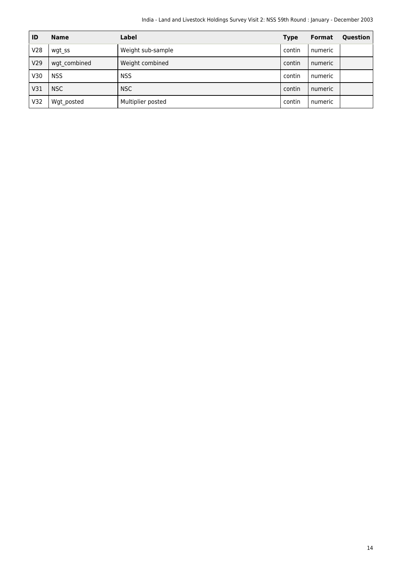India - Land and Livestock Holdings Survey Visit 2: NSS 59th Round : January - December 2003

| ID              | <b>Name</b>  | Label             | <b>Type</b> | <b>Format</b> | Question |
|-----------------|--------------|-------------------|-------------|---------------|----------|
| V <sub>28</sub> | wgt ss       | Weight sub-sample | contin      | numeric       |          |
| V <sub>29</sub> | wgt combined | Weight combined   | contin      | numeric       |          |
| V30             | <b>NSS</b>   | <b>NSS</b>        | contin      | numeric       |          |
| V31             | <b>NSC</b>   | <b>NSC</b>        | contin      | numeric       |          |
| V32             | Wgt posted   | Multiplier posted | contin      | numeric       |          |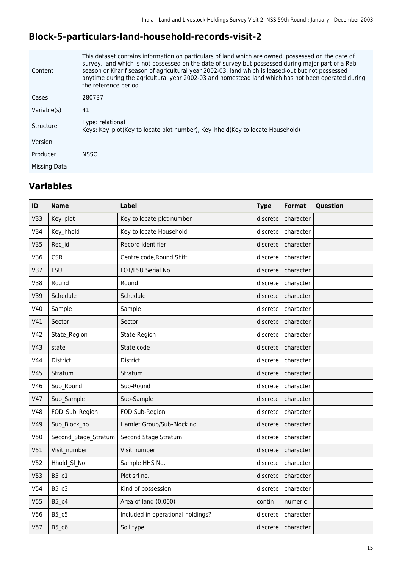## **Block-5-particulars-land-household-records-visit-2**

| Content      | This dataset contains information on particulars of land which are owned, possessed on the date of<br>survey, land which is not possessed on the date of survey but possessed during major part of a Rabi<br>season or Kharif season of agricultural year 2002-03, land which is leased-out but not possessed<br>anytime during the agricultural year 2002-03 and homestead land which has not been operated during<br>the reference period. |
|--------------|----------------------------------------------------------------------------------------------------------------------------------------------------------------------------------------------------------------------------------------------------------------------------------------------------------------------------------------------------------------------------------------------------------------------------------------------|
| Cases        | 280737                                                                                                                                                                                                                                                                                                                                                                                                                                       |
| Variable(s)  | 41                                                                                                                                                                                                                                                                                                                                                                                                                                           |
| Structure    | Type: relational<br>Keys: Key plot(Key to locate plot number), Key hhold(Key to locate Household)                                                                                                                                                                                                                                                                                                                                            |
| Version      |                                                                                                                                                                                                                                                                                                                                                                                                                                              |
| Producer     | <b>NSSO</b>                                                                                                                                                                                                                                                                                                                                                                                                                                  |
| Missing Data |                                                                                                                                                                                                                                                                                                                                                                                                                                              |

### **Variables**

| ID              | <b>Name</b>          | Label                             | <b>Type</b> | Format    | Question |
|-----------------|----------------------|-----------------------------------|-------------|-----------|----------|
| V33             | Key_plot             | Key to locate plot number         | discrete    | character |          |
| V34             | Key_hhold            | Key to locate Household           | discrete    | character |          |
| V35             | Rec id               | Record identifier                 | discrete    | character |          |
| V36             | <b>CSR</b>           | Centre code, Round, Shift         | discrete    | character |          |
| V37             | <b>FSU</b>           | LOT/FSU Serial No.                | discrete    | character |          |
| V38             | Round                | Round                             | discrete    | character |          |
| V39             | Schedule             | Schedule                          | discrete    | character |          |
| V40             | Sample               | Sample                            | discrete    | character |          |
| V41             | Sector               | Sector                            | discrete    | character |          |
| V42             | State_Region         | State-Region                      | discrete    | character |          |
| V43             | state                | State code                        | discrete    | character |          |
| V44             | District             | District                          | discrete    | character |          |
| V <sub>45</sub> | Stratum              | Stratum                           | discrete    | character |          |
| V46             | Sub_Round            | Sub-Round                         | discrete    | character |          |
| V47             | Sub_Sample           | Sub-Sample                        | discrete    | character |          |
| V48             | FOD_Sub_Region       | FOD Sub-Region                    | discrete    | character |          |
| V49             | Sub_Block_no         | Hamlet Group/Sub-Block no.        | discrete    | character |          |
| V50             | Second_Stage_Stratum | Second Stage Stratum              | discrete    | character |          |
| V51             | Visit_number         | Visit number                      | discrete    | character |          |
| V <sub>52</sub> | Hhold_SI_No          | Sample HHS No.                    | discrete    | character |          |
| V <sub>53</sub> | $B5_c1$              | Plot srl no.                      | discrete    | character |          |
| V54             | $B5_c3$              | Kind of possession                | discrete    | character |          |
| V <sub>55</sub> | $B5_c4$              | Area of land (0.000)              | contin      | numeric   |          |
| V56             | $B5_c5$              | Included in operational holdings? | discrete    | character |          |
| V57             | $B5_c6$              | Soil type                         | discrete    | character |          |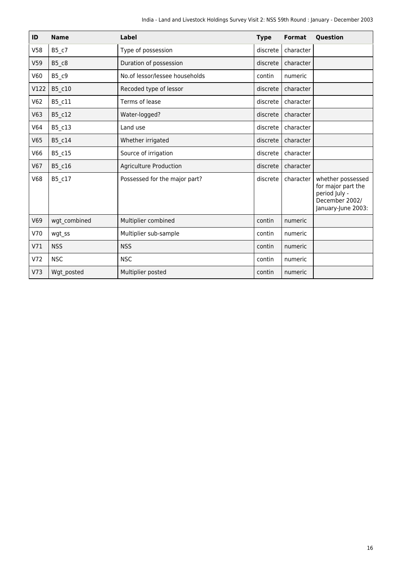| ID              | <b>Name</b>  | <b>Label</b>                   | <b>Type</b> | <b>Format</b> | Question                                                                                         |
|-----------------|--------------|--------------------------------|-------------|---------------|--------------------------------------------------------------------------------------------------|
| V58             | $B5_C7$      | Type of possession             | discrete    | character     |                                                                                                  |
| V <sub>59</sub> | $B5_c8$      | Duration of possession         | discrete    | character     |                                                                                                  |
| V60             | B5 c9        | No.of lessor/lessee households | contin      | numeric       |                                                                                                  |
| V122            | B5_c10       | Recoded type of lessor         | discrete    | character     |                                                                                                  |
| V62             | B5_c11       | Terms of lease                 | discrete    | character     |                                                                                                  |
| V63             | B5 c12       | Water-logged?                  | discrete    | character     |                                                                                                  |
| V64             | B5_c13       | Land use                       | discrete    | character     |                                                                                                  |
| V65             | B5_c14       | Whether irrigated              | discrete    | character     |                                                                                                  |
| V66             | B5_c15       | Source of irrigation           | discrete    | character     |                                                                                                  |
| V67             | B5_c16       | <b>Agriculture Production</b>  | discrete    | character     |                                                                                                  |
| <b>V68</b>      | B5_c17       | Possessed for the major part?  | discrete    | character     | whether possessed<br>for major part the<br>period July -<br>December 2002/<br>January-June 2003: |
| V69             | wgt combined | Multiplier combined            | contin      | numeric       |                                                                                                  |
| V70             | wgt ss       | Multiplier sub-sample          | contin      | numeric       |                                                                                                  |
| V71             | <b>NSS</b>   | <b>NSS</b>                     | contin      | numeric       |                                                                                                  |
| V <sub>72</sub> | <b>NSC</b>   | <b>NSC</b>                     | contin      | numeric       |                                                                                                  |
| V <sub>73</sub> | Wgt_posted   | Multiplier posted              | contin      | numeric       |                                                                                                  |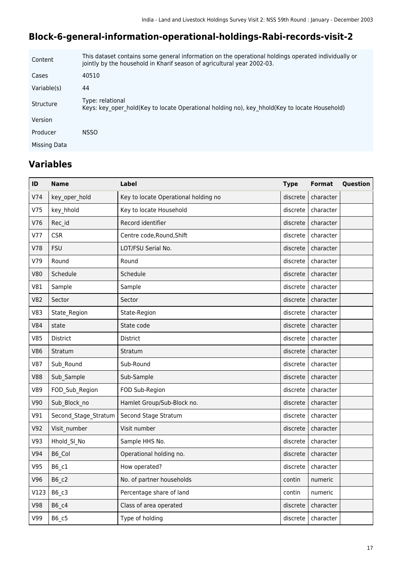## **Block-6-general-information-operational-holdings-Rabi-records-visit-2**

| Content      | This dataset contains some general information on the operational holdings operated individually or<br>jointly by the household in Kharif season of agricultural year 2002-03. |
|--------------|--------------------------------------------------------------------------------------------------------------------------------------------------------------------------------|
| Cases        | 40510                                                                                                                                                                          |
| Variable(s)  | 44                                                                                                                                                                             |
| Structure    | Type: relational<br>Keys: key oper hold(Key to locate Operational holding no), key hhold(Key to locate Household)                                                              |
| Version      |                                                                                                                                                                                |
| Producer     | <b>NSSO</b>                                                                                                                                                                    |
| Missing Data |                                                                                                                                                                                |

### **Variables**

| ID         | <b>Name</b>          | Label                                | <b>Type</b> | <b>Format</b> | Question |
|------------|----------------------|--------------------------------------|-------------|---------------|----------|
| V74        | key oper hold        | Key to locate Operational holding no | discrete    | character     |          |
| V75        | key hhold            | Key to locate Household              | discrete    | character     |          |
| V76        | Rec_id               | Record identifier                    | discrete    | character     |          |
| <b>V77</b> | <b>CSR</b>           | Centre code, Round, Shift            | discrete    | character     |          |
| V78        | <b>FSU</b>           | LOT/FSU Serial No.                   | discrete    | character     |          |
| V79        | Round                | Round                                | discrete    | character     |          |
| <b>V80</b> | Schedule             | Schedule                             | discrete    | character     |          |
| V81        | Sample               | Sample                               | discrete    | character     |          |
| <b>V82</b> | Sector               | Sector                               | discrete    | character     |          |
| V83        | State Region         | State-Region                         | discrete    | character     |          |
| <b>V84</b> | state                | State code                           | discrete    | character     |          |
| <b>V85</b> | District             | District                             | discrete    | character     |          |
| <b>V86</b> | Stratum              | Stratum                              | discrete    | character     |          |
| <b>V87</b> | Sub Round            | Sub-Round                            | discrete    | character     |          |
| <b>V88</b> | Sub_Sample           | Sub-Sample                           | discrete    | character     |          |
| V89        | FOD Sub Region       | FOD Sub-Region                       | discrete    | character     |          |
| V90        | Sub Block no         | Hamlet Group/Sub-Block no.           | discrete    | character     |          |
| V91        | Second_Stage_Stratum | Second Stage Stratum                 | discrete    | character     |          |
| V92        | Visit number         | Visit number                         | discrete    | character     |          |
| V93        | Hhold_SI_No          | Sample HHS No.                       | discrete    | character     |          |
| V94        | B6_Col               | Operational holding no.              | discrete    | character     |          |
| V95        | B6_c1                | How operated?                        | discrete    | character     |          |
| V96        | B6_c2                | No. of partner households            | contin      | numeric       |          |
| V123       | B6_c3                | Percentage share of land             | contin      | numeric       |          |
| <b>V98</b> | B6_c4                | Class of area operated               | discrete    | character     |          |
| V99        | B6_c5                | Type of holding                      | discrete    | character     |          |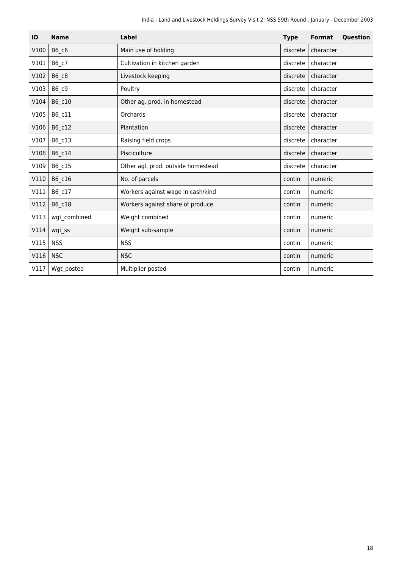| ID   | <b>Name</b>  | <b>Label</b>                       | <b>Type</b> | <b>Format</b> | <b>Question</b> |
|------|--------------|------------------------------------|-------------|---------------|-----------------|
| V100 | B6_c6        | Main use of holding                | discrete    | character     |                 |
| V101 | B6_c7        | Cultivation in kitchen garden      | discrete    | character     |                 |
| V102 | B6_c8        | Livestock keeping                  | discrete    | character     |                 |
| V103 | B6_c9        | Poultry                            | discrete    | character     |                 |
| V104 | B6_c10       | Other ag. prod. in homestead       | discrete    | character     |                 |
| V105 | B6_c11       | Orchards                           | discrete    | character     |                 |
| V106 | B6_c12       | Plantation                         | discrete    | character     |                 |
| V107 | B6_c13       | Raising field crops                | discrete    | character     |                 |
| V108 | B6 c14       | Pisciculture                       | discrete    | character     |                 |
| V109 | B6 c15       | Other agl. prod. outside homestead | discrete    | character     |                 |
| V110 | B6 c16       | No. of parcels                     | contin      | numeric       |                 |
| V111 | B6 c17       | Workers against wage in cash/kind  | contin      | numeric       |                 |
| V112 | B6_c18       | Workers against share of produce   | contin      | numeric       |                 |
| V113 | wgt combined | Weight combined                    | contin      | numeric       |                 |
| V114 | wgt_ss       | Weight sub-sample                  | contin      | numeric       |                 |
| V115 | <b>NSS</b>   | <b>NSS</b>                         | contin      | numeric       |                 |
| V116 | <b>NSC</b>   | <b>NSC</b>                         | contin      | numeric       |                 |
| V117 | Wgt_posted   | Multiplier posted                  | contin      | numeric       |                 |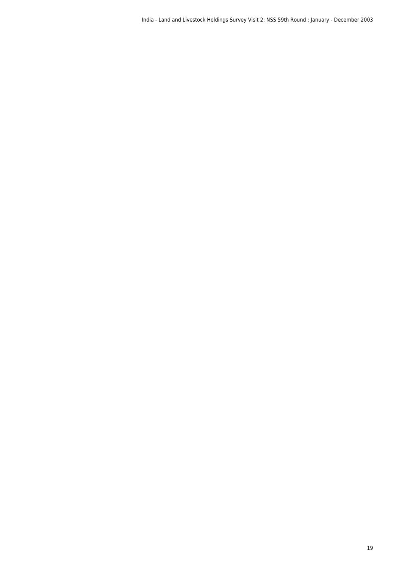India - Land and Livestock Holdings Survey Visit 2: NSS 59th Round : January - December 2003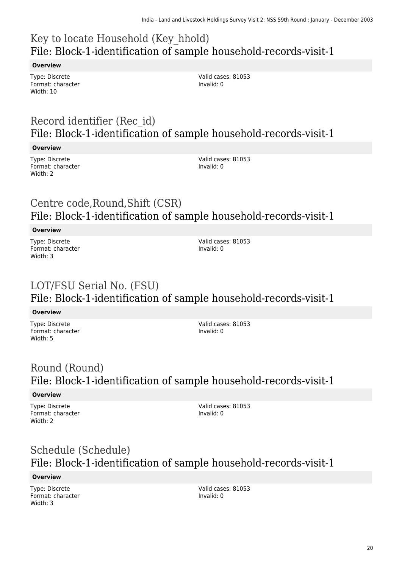## Key to locate Household (Key\_hhold) File: Block-1-identification of sample household-records-visit-1

**Overview**

Type: Discrete Format: character Width: 10

Valid cases: 81053 Invalid: 0

## Record identifier (Rec\_id) File: Block-1-identification of sample household-records-visit-1

### **Overview**

Type: Discrete Format: character Width: 2

Valid cases: 81053 Invalid: 0

## Centre code,Round,Shift (CSR) File: Block-1-identification of sample household-records-visit-1

### **Overview**

Type: Discrete Format: character Width: 3

Valid cases: 81053 Invalid: 0

## LOT/FSU Serial No. (FSU) File: Block-1-identification of sample household-records-visit-1

### **Overview**

Type: Discrete Format: character Width: 5

Valid cases: 81053 Invalid: 0

## Round (Round) File: Block-1-identification of sample household-records-visit-1

### **Overview**

Type: Discrete Format: character Width: 2

Valid cases: 81053 Invalid: 0

## Schedule (Schedule) File: Block-1-identification of sample household-records-visit-1

### **Overview**

Type: Discrete Format: character Width: 3

Valid cases: 81053 Invalid: 0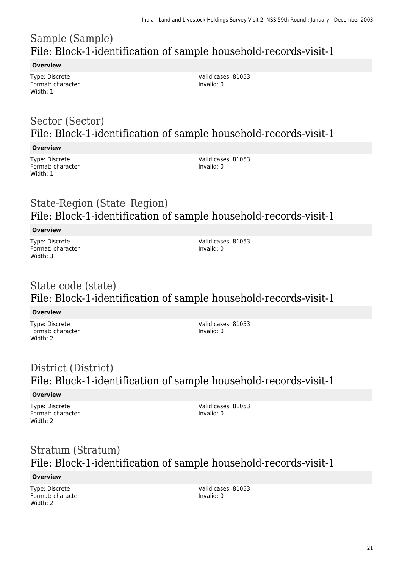## Sample (Sample) File: Block-1-identification of sample household-records-visit-1

### **Overview**

Type: Discrete Format: character Width: 1

Valid cases: 81053 Invalid: 0

## Sector (Sector) File: Block-1-identification of sample household-records-visit-1

### **Overview**

Type: Discrete Format: character Width: 1

Valid cases: 81053 Invalid: 0

## State-Region (State\_Region) File: Block-1-identification of sample household-records-visit-1

### **Overview**

Type: Discrete Format: character Width: 3

Valid cases: 81053 Invalid: 0

### State code (state) File: Block-1-identification of sample household-records-visit-1

### **Overview**

Type: Discrete Format: character Width: 2

Valid cases: 81053 Invalid: 0

## District (District) File: Block-1-identification of sample household-records-visit-1

### **Overview**

Type: Discrete Format: character Width: 2

Valid cases: 81053 Invalid: 0

### Stratum (Stratum) File: Block-1-identification of sample household-records-visit-1

### **Overview**

Type: Discrete Format: character Width: 2

Valid cases: 81053 Invalid: 0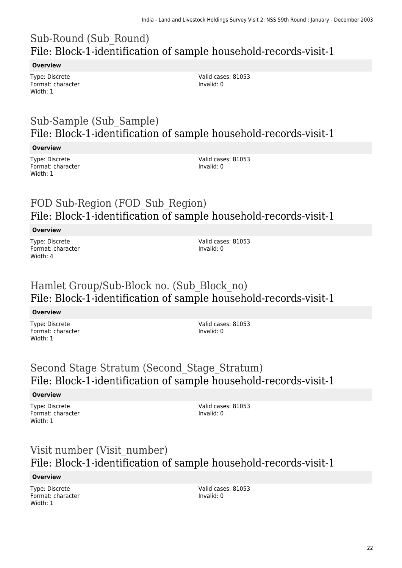## Sub-Round (Sub\_Round) File: Block-1-identification of sample household-records-visit-1

#### **Overview**

Type: Discrete Format: character Width: 1

Valid cases: 81053 Invalid: 0

## Sub-Sample (Sub\_Sample) File: Block-1-identification of sample household-records-visit-1

### **Overview**

Type: Discrete Format: character Width: 1

Valid cases: 81053 Invalid: 0

## FOD Sub-Region (FOD\_Sub\_Region) File: Block-1-identification of sample household-records-visit-1

### **Overview**

Type: Discrete Format: character Width: 4

Valid cases: 81053 Invalid: 0

### Hamlet Group/Sub-Block no. (Sub\_Block\_no) File: Block-1-identification of sample household-records-visit-1

### **Overview**

Type: Discrete Format: character Width: 1

Valid cases: 81053 Invalid: 0

### Second Stage Stratum (Second\_Stage\_Stratum) File: Block-1-identification of sample household-records-visit-1

### **Overview**

Type: Discrete Format: character Width: 1

Valid cases: 81053 Invalid: 0

### Visit number (Visit\_number) File: Block-1-identification of sample household-records-visit-1

### **Overview**

Type: Discrete Format: character Width: 1

Valid cases: 81053 Invalid: 0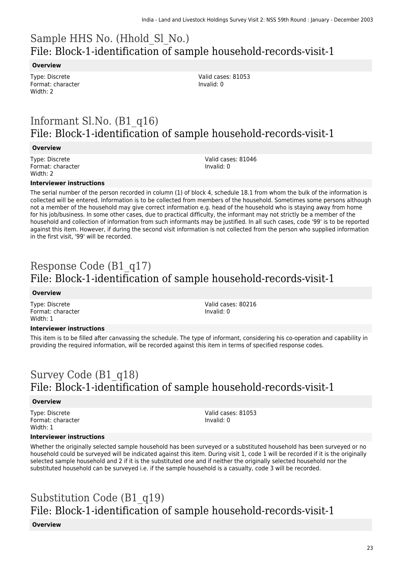## Sample HHS No. (Hhold\_Sl\_No.) File: Block-1-identification of sample household-records-visit-1

**Overview**

Type: Discrete Format: character Width: 2

Valid cases: 81053 Invalid: 0

## Informant Sl.No. (B1\_q16) File: Block-1-identification of sample household-records-visit-1

### **Overview**

Type: Discrete Format: character Width: 2

Valid cases: 81046 Invalid: 0

### **Interviewer instructions**

The serial number of the person recorded in column (1) of block 4, schedule 18.1 from whom the bulk of the information is collected will be entered. Information is to be collected from members of the household. Sometimes some persons although not a member of the household may give correct information e.g. head of the household who is staying away from home for his job/business. In some other cases, due to practical difficulty, the informant may not strictly be a member of the household and collection of information from such informants may be justified. In all such cases, code '99' is to be reported against this item. However, if during the second visit information is not collected from the person who supplied information in the first visit, '99' will be recorded.

## Response Code (B1\_q17) File: Block-1-identification of sample household-records-visit-1

### **Overview**

Type: Discrete Format: character Width: 1

### **Interviewer instructions**

This item is to be filled after canvassing the schedule. The type of informant, considering his co-operation and capability in providing the required information, will be recorded against this item in terms of specified response codes.

## Survey Code (B1\_q18) File: Block-1-identification of sample household-records-visit-1

### **Overview**

Type: Discrete Format: character Width: 1

Valid cases: 81053 Invalid: 0

Valid cases: 80216

Invalid: 0

### **Interviewer instructions**

Whether the originally selected sample household has been surveyed or a substituted household has been surveyed or no household could be surveyed will be indicated against this item. During visit 1, code 1 will be recorded if it is the originally selected sample household and 2 if it is the substituted one and if neither the originally selected household nor the substituted household can be surveyed i.e. if the sample household is a casualty, code 3 will be recorded.

## Substitution Code (B1\_q19) File: Block-1-identification of sample household-records-visit-1

#### **Overview**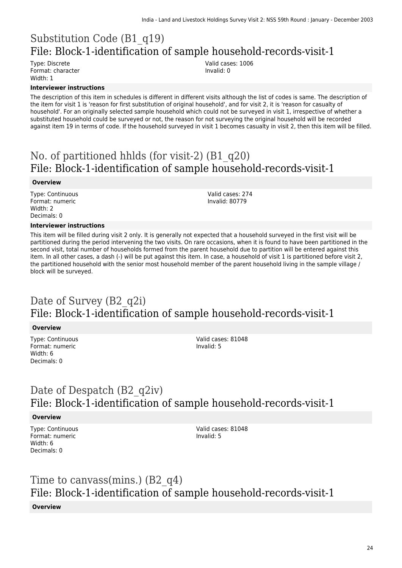### Substitution Code (B1\_q19) File: Block-1-identification of sample household-records-visit-1 Valid cases: 1006

Type: Discrete Format: character Width: 1

### **Interviewer instructions**

The description of this item in schedules is different in different visits although the list of codes is same. The description of the item for visit 1 is 'reason for first substitution of original household', and for visit 2, it is 'reason for casualty of household'. For an originally selected sample household which could not be surveyed in visit 1, irrespective of whether a substituted household could be surveyed or not, the reason for not surveying the original household will be recorded against item 19 in terms of code. If the household surveyed in visit 1 becomes casualty in visit 2, then this item will be filled.

Invalid: 0

## No. of partitioned hhlds (for visit-2) (B1\_q20) File: Block-1-identification of sample household-records-visit-1

### **Overview**

Type: Continuous Format: numeric Width: 2 Decimals: 0

### Valid cases: 274 Invalid: 80779

### **Interviewer instructions**

This item will be filled during visit 2 only. It is generally not expected that a household surveyed in the first visit will be partitioned during the period intervening the two visits. On rare occasions, when it is found to have been partitioned in the second visit, total number of households formed from the parent household due to partition will be entered against this item. In all other cases, a dash (-) will be put against this item. In case, a household of visit 1 is partitioned before visit 2, the partitioned household with the senior most household member of the parent household living in the sample village / block will be surveyed.

## Date of Survey (B2\_q2i) File: Block-1-identification of sample household-records-visit-1

### **Overview**

Type: Continuous Format: numeric Width: 6 Decimals: 0

Valid cases: 81048 Invalid: 5

## Date of Despatch (B2\_q2iv) File: Block-1-identification of sample household-records-visit-1

### **Overview**

Type: Continuous Format: numeric Width: 6 Decimals: 0

Valid cases: 81048 Invalid: 5

### Time to canvass(mins.)  $(B2q4)$ File: Block-1-identification of sample household-records-visit-1

### **Overview**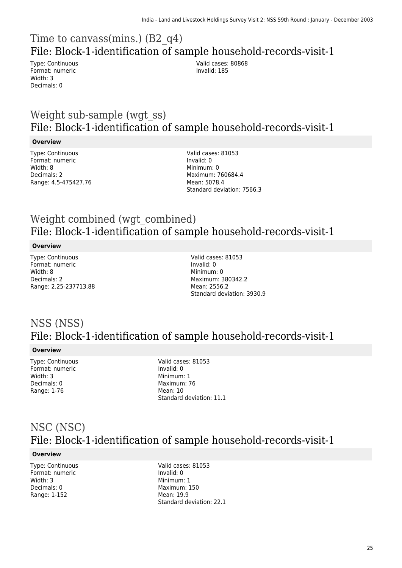## Time to canvass(mins.) (B2\_q4) File: Block-1-identification of sample household-records-visit-1

Type: Continuous Format: numeric Width: 3 Decimals: 0

Valid cases: 80868 Invalid: 185

## Weight sub-sample (wgt\_ss) File: Block-1-identification of sample household-records-visit-1

### **Overview**

Type: Continuous Format: numeric Width: 8 Decimals: 2 Range: 4.5-475427.76 Valid cases: 81053 Invalid: 0 Minimum: 0 Maximum: 760684.4 Mean: 5078.4 Standard deviation: 7566.3

## Weight combined (wgt\_combined) File: Block-1-identification of sample household-records-visit-1

### **Overview**

Type: Continuous Format: numeric Width: 8 Decimals: 2 Range: 2.25-237713.88 Valid cases: 81053 Invalid: 0 Minimum: 0 Maximum: 380342.2 Mean: 2556.2 Standard deviation: 3930.9

## NSS (NSS) File: Block-1-identification of sample household-records-visit-1

### **Overview**

Type: Continuous Format: numeric Width: 3 Decimals: 0 Range: 1-76

Valid cases: 81053 Invalid: 0 Minimum: 1 Maximum: 76 Mean: 10 Standard deviation: 11.1

## NSC (NSC) File: Block-1-identification of sample household-records-visit-1

### **Overview**

Type: Continuous Format: numeric Width: 3 Decimals: 0 Range: 1-152

Valid cases: 81053 Invalid: 0 Minimum: 1 Maximum: 150 Mean: 19.9 Standard deviation: 22.1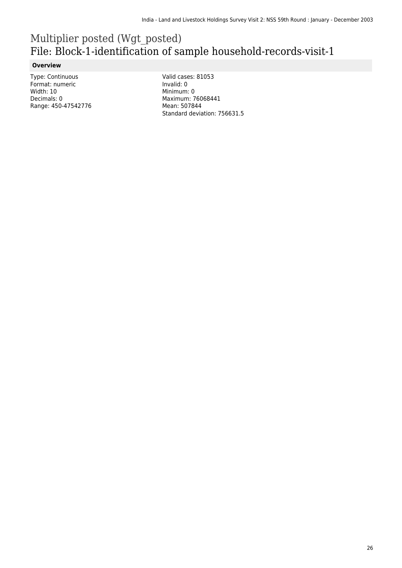## Multiplier posted (Wgt\_posted) File: Block-1-identification of sample household-records-visit-1

### **Overview**

Type: Continuous Format: numeric Width: 10 Decimals: 0 Range: 450-47542776 Valid cases: 81053 Invalid: 0 Minimum: 0 Maximum: 76068441 Mean: 507844 Standard deviation: 756631.5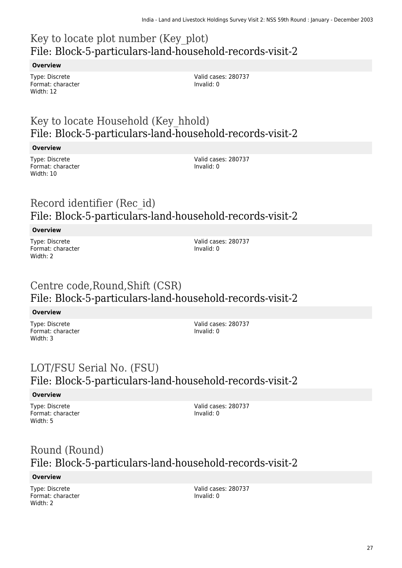## Key to locate plot number (Key\_plot) File: Block-5-particulars-land-household-records-visit-2

**Overview**

Type: Discrete Format: character Width: 12

Valid cases: 280737 Invalid: 0

## Key to locate Household (Key\_hhold) File: Block-5-particulars-land-household-records-visit-2

### **Overview**

Type: Discrete Format: character Width: 10

Valid cases: 280737 Invalid: 0

## Record identifier (Rec\_id) File: Block-5-particulars-land-household-records-visit-2

### **Overview**

Type: Discrete Format: character Width: 2

Valid cases: 280737 Invalid: 0

### Centre code,Round,Shift (CSR) File: Block-5-particulars-land-household-records-visit-2

### **Overview**

Type: Discrete Format: character Width: 3

Valid cases: 280737 Invalid: 0

## LOT/FSU Serial No. (FSU) File: Block-5-particulars-land-household-records-visit-2

### **Overview**

Type: Discrete Format: character Width: 5

Valid cases: 280737 Invalid: 0

## Round (Round) File: Block-5-particulars-land-household-records-visit-2

### **Overview**

Type: Discrete Format: character Width: 2

Valid cases: 280737 Invalid: 0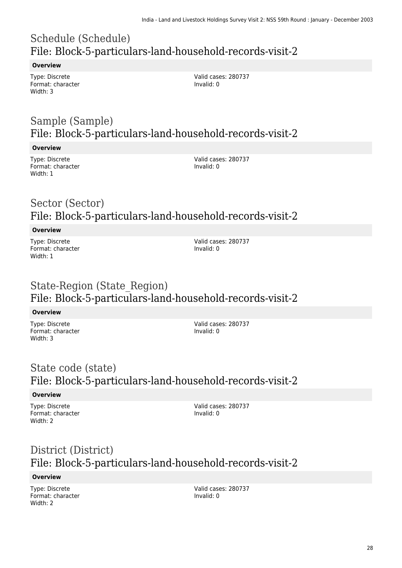## Schedule (Schedule) File: Block-5-particulars-land-household-records-visit-2

### **Overview**

Type: Discrete Format: character Width: 3

Valid cases: 280737 Invalid: 0

## Sample (Sample) File: Block-5-particulars-land-household-records-visit-2

### **Overview**

Type: Discrete Format: character Width: 1

Valid cases: 280737 Invalid: 0

## Sector (Sector) File: Block-5-particulars-land-household-records-visit-2

### **Overview**

Type: Discrete Format: character Width: 1

Valid cases: 280737 Invalid: 0

### State-Region (State\_Region) File: Block-5-particulars-land-household-records-visit-2

### **Overview**

Type: Discrete Format: character Width: 3

Valid cases: 280737 Invalid: 0

## State code (state) File: Block-5-particulars-land-household-records-visit-2

### **Overview**

Type: Discrete Format: character Width: 2

Valid cases: 280737 Invalid: 0

## District (District) File: Block-5-particulars-land-household-records-visit-2

### **Overview**

Type: Discrete Format: character Width: 2

Valid cases: 280737 Invalid: 0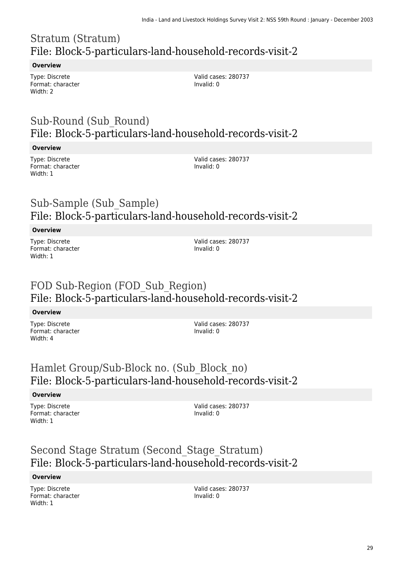## Stratum (Stratum) File: Block-5-particulars-land-household-records-visit-2

### **Overview**

Type: Discrete Format: character Width: 2

Valid cases: 280737 Invalid: 0

## Sub-Round (Sub\_Round) File: Block-5-particulars-land-household-records-visit-2

### **Overview**

Type: Discrete Format: character Width: 1

Valid cases: 280737 Invalid: 0

## Sub-Sample (Sub\_Sample) File: Block-5-particulars-land-household-records-visit-2

### **Overview**

Type: Discrete Format: character Width: 1

Valid cases: 280737 Invalid: 0

## FOD Sub-Region (FOD\_Sub\_Region) File: Block-5-particulars-land-household-records-visit-2

### **Overview**

Type: Discrete Format: character Width: 4

Valid cases: 280737 Invalid: 0

## Hamlet Group/Sub-Block no. (Sub\_Block\_no) File: Block-5-particulars-land-household-records-visit-2

### **Overview**

Type: Discrete Format: character Width: 1

Valid cases: 280737 Invalid: 0

## Second Stage Stratum (Second\_Stage\_Stratum) File: Block-5-particulars-land-household-records-visit-2

### **Overview**

Type: Discrete Format: character Width: 1

Valid cases: 280737 Invalid: 0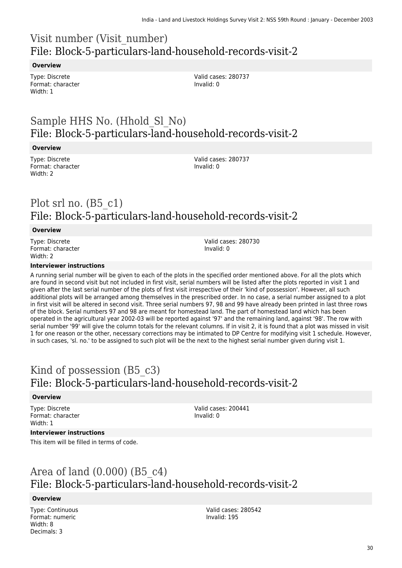## Visit number (Visit\_number) File: Block-5-particulars-land-household-records-visit-2

#### **Overview**

Type: Discrete Format: character Width: 1

Valid cases: 280737 Invalid: 0

## Sample HHS No. (Hhold\_Sl\_No) File: Block-5-particulars-land-household-records-visit-2

#### **Overview**

Type: Discrete Format: character Width: 2

Valid cases: 280737 Invalid: 0

## Plot srl no. (B5\_c1) File: Block-5-particulars-land-household-records-visit-2

### **Overview**

Type: Discrete Format: character Width: 2

Valid cases: 280730 Invalid: 0

#### **Interviewer instructions**

A running serial number will be given to each of the plots in the specified order mentioned above. For all the plots which are found in second visit but not included in first visit, serial numbers will be listed after the plots reported in visit 1 and given after the last serial number of the plots of first visit irrespective of their 'kind of possession'. However, all such additional plots will be arranged among themselves in the prescribed order. In no case, a serial number assigned to a plot in first visit will be altered in second visit. Three serial numbers 97, 98 and 99 have already been printed in last three rows of the block. Serial numbers 97 and 98 are meant for homestead land. The part of homestead land which has been operated in the agricultural year 2002-03 will be reported against '97' and the remaining land, against '98'. The row with serial number '99' will give the column totals for the relevant columns. If in visit 2, it is found that a plot was missed in visit 1 for one reason or the other, necessary corrections may be intimated to DP Centre for modifying visit 1 schedule. However, in such cases, 'sl. no.' to be assigned to such plot will be the next to the highest serial number given during visit 1.

## Kind of possession (B5\_c3) File: Block-5-particulars-land-household-records-visit-2

#### **Overview**

Type: Discrete Format: character Width: 1

Valid cases: 200441 Invalid: 0

## **Interviewer instructions**

This item will be filled in terms of code.

## Area of land  $(0.000)$  (B5 $\;$ c4) File: Block-5-particulars-land-household-records-visit-2

#### **Overview**

Type: Continuous Format: numeric Width: 8 Decimals: 3

Valid cases: 280542 Invalid: 195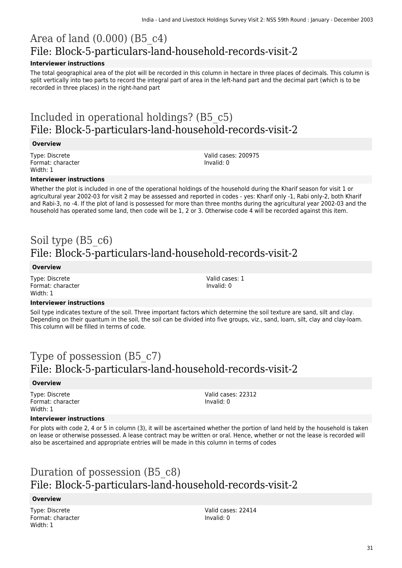### Area of land (0.000) (B5\_c4) File: Block-5-particulars-land-household-records-visit-2 **Interviewer instructions**

The total geographical area of the plot will be recorded in this column in hectare in three places of decimals. This column is split vertically into two parts to record the integral part of area in the left-hand part and the decimal part (which is to be recorded in three places) in the right-hand part

## Included in operational holdings? (B5\_c5) File: Block-5-particulars-land-household-records-visit-2

### **Overview**

Type: Discrete Format: character Width: 1

#### Valid cases: 200975 Invalid: 0

#### **Interviewer instructions**

Whether the plot is included in one of the operational holdings of the household during the Kharif season for visit 1 or agricultural year 2002-03 for visit 2 may be assessed and reported in codes - yes: Kharif only -1, Rabi only-2, both Kharif and Rabi-3, no -4. If the plot of land is possessed for more than three months during the agricultural year 2002-03 and the household has operated some land, then code will be 1, 2 or 3. Otherwise code 4 will be recorded against this item.

## Soil type (B5\_c6) File: Block-5-particulars-land-household-records-visit-2

### **Overview**

Type: Discrete Format: character Width: 1

Valid cases: 1 Invalid: 0

### **Interviewer instructions**

Soil type indicates texture of the soil. Three important factors which determine the soil texture are sand, silt and clay. Depending on their quantum in the soil, the soil can be divided into five groups, viz., sand, loam, silt, clay and clay-loam. This column will be filled in terms of code.

## Type of possession (B5\_c7) File: Block-5-particulars-land-household-records-visit-2

#### **Overview**

Type: Discrete Format: character Width: 1

Valid cases: 22312 Invalid: 0

#### **Interviewer instructions**

For plots with code 2, 4 or 5 in column (3), it will be ascertained whether the portion of land held by the household is taken on lease or otherwise possessed. A lease contract may be written or oral. Hence, whether or not the lease is recorded will also be ascertained and appropriate entries will be made in this column in terms of codes

## Duration of possession (B5\_c8) File: Block-5-particulars-land-household-records-visit-2

#### **Overview**

Type: Discrete Format: character Width: 1

Valid cases: 22414 Invalid: 0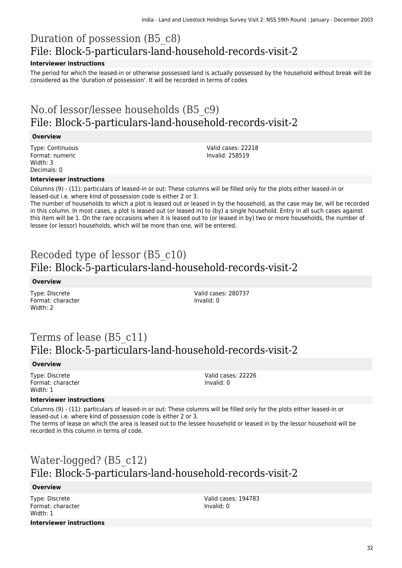### Duration of possession (B5\_c8) File: Block-5-particulars-land-household-records-visit-2 **Interviewer instructions**

The period for which the leased-in or otherwise possessed land is actually possessed by the household without break will be considered as the 'duration of possession'. It will be recorded in terms of codes

## No.of lessor/lessee households (B5\_c9) File: Block-5-particulars-land-household-records-visit-2

#### **Overview**

Type: Continuous Format: numeric Width: 3 Decimals: 0

Valid cases: 22218 Invalid: 258519

### **Interviewer instructions**

Columns (9) - (11): particulars of leased-in or out: These columns will be filled only for the plots either leased-in or leased-out i.e. where kind of possession code is either 2 or 3.

The number of households to which a plot is leased out or leased in by the household, as the case may be, will be recorded in this column. In most cases, a plot is leased out (or leased in) to (by) a single household. Entry in all such cases against this item will be 1. On the rare occasions when it is leased out to (or leased in by) two or more households, the number of lessee (or lessor) households, which will be more than one, will be entered.

## Recoded type of lessor (B5\_c10) File: Block-5-particulars-land-household-records-visit-2

**Overview**

Type: Discrete Format: character Width: 2

Valid cases: 280737 Invalid: 0

## Terms of lease (B5\_c11) File: Block-5-particulars-land-household-records-visit-2

**Overview**

Type: Discrete Format: character Width: 1

Valid cases: 22226 Invalid: 0

### **Interviewer instructions**

Columns (9) - (11): particulars of leased-in or out: These columns will be filled only for the plots either leased-in or leased-out i.e. where kind of possession code is either 2 or 3.

The terms of lease on which the area is leased out to the lessee household or leased in by the lessor household will be recorded in this column in terms of code.

## Water-logged? (B5\_c12) File: Block-5-particulars-land-household-records-visit-2

#### **Overview**

Type: Discrete Format: character Width: 1 **Interviewer instructions** Valid cases: 194783 Invalid: 0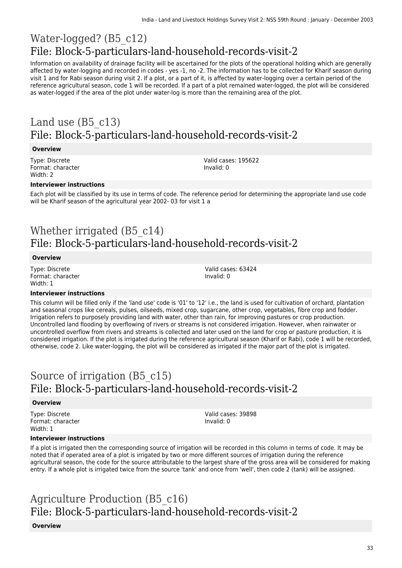## Water-logged? (B5\_c12) File: Block-5-particulars-land-household-records-visit-2

Information on availability of drainage facility will be ascertained for the plots of the operational holding which are generally affected by water-logging and recorded in codes - yes -1, no -2. The information has to be collected for Kharif season during visit 1 and for Rabi season during visit 2. If a plot, or a part of it, is affected by water-logging over a certain period of the reference agricultural season, code 1 will be recorded. If a part of a plot remained water-logged, the plot will be considered as water-logged if the area of the plot under water-log is more than the remaining area of the plot.

## Land use  $(B5\text{ c}13)$ File: Block-5-particulars-land-household-records-visit-2

### **Overview**

Type: Discrete Format: character Width: 2

Valid cases: 195622 Invalid: 0

### **Interviewer instructions**

Each plot will be classified by its use in terms of code. The reference period for determining the appropriate land use code will be Kharif season of the agricultural year 2002- 03 for visit 1 a

## Whether irrigated (B5 c14) File: Block-5-particulars-land-household-records-visit-2

#### **Overview**

Type: Discrete Format: character Width: 1

Valid cases: 63424 Invalid: 0

### **Interviewer instructions**

This column will be filled only if the 'land use' code is '01' to '12' i.e., the land is used for cultivation of orchard, plantation and seasonal crops like cereals, pulses, oilseeds, mixed crop, sugarcane, other crop, vegetables, fibre crop and fodder. Irrigation refers to purposely providing land with water, other than rain, for improving pastures or crop production. Uncontrolled land flooding by overflowing of rivers or streams is not considered irrigation. However, when rainwater or uncontrolled overflow from rivers and streams is collected and later used on the land for crop or pasture production, it is considered irrigation. If the plot is irrigated during the reference agricultural season (Kharif or Rabi), code 1 will be recorded, otherwise, code 2. Like water-logging, the plot will be considered as irrigated if the major part of the plot is irrigated.

## Source of irrigation (B5\_c15) File: Block-5-particulars-land-household-records-visit-2

#### **Overview**

Type: Discrete Format: character Width: 1

Valid cases: 39898 Invalid: 0

### **Interviewer instructions**

If a plot is irrigated then the corresponding source of irrigation will be recorded in this column in terms of code. It may be noted that if operated area of a plot is irrigated by two or more different sources of irrigation during the reference agricultural season, the code for the source attributable to the largest share of the gross area will be considered for making entry. If a whole plot is irrigated twice from the source 'tank' and once from 'well', then code 2 (tank) will be assigned.

## Agriculture Production (B5\_c16) File: Block-5-particulars-land-household-records-visit-2

**Overview**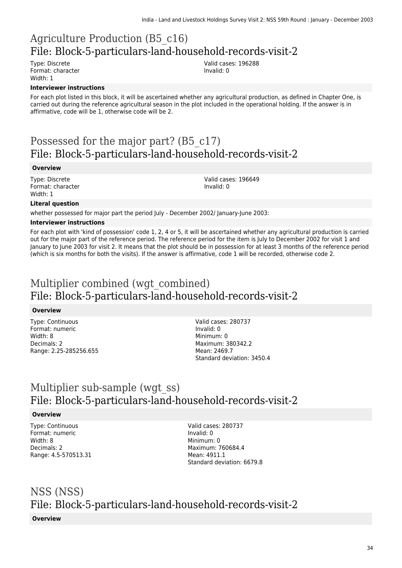## Agriculture Production (B5\_c16) File: Block-5-particulars-land-household-records-visit-2

Type: Discrete Format: character Width: 1

### **Interviewer instructions**

For each plot listed in this block, it will be ascertained whether any agricultural production, as defined in Chapter One, is carried out during the reference agricultural season in the plot included in the operational holding. If the answer is in affirmative, code will be 1, otherwise code will be 2.

## Possessed for the major part? (B5\_c17) File: Block-5-particulars-land-household-records-visit-2

#### **Overview**

Type: Discrete Format: character Width: 1

Valid cases: 196649 Invalid: 0

Valid cases: 196288

Invalid: 0

### **Literal question**

whether possessed for major part the period July - December 2002/ January-June 2003:

#### **Interviewer instructions**

For each plot with 'kind of possession' code 1, 2, 4 or 5, it will be ascertained whether any agricultural production is carried out for the major part of the reference period. The reference period for the item is July to December 2002 for visit 1 and January to June 2003 for visit 2. It means that the plot should be in possession for at least 3 months of the reference period (which is six months for both the visits). If the answer is affirmative, code 1 will be recorded, otherwise code 2.

### Multiplier combined (wgt\_combined) File: Block-5-particulars-land-household-records-visit-2

#### **Overview**

Type: Continuous Format: numeric Width: 8 Decimals: 2 Range: 2.25-285256.655 Valid cases: 280737 Invalid: 0 Minimum: 0 Maximum: 380342.2 Mean: 2469.7 Standard deviation: 3450.4

### Multiplier sub-sample (wgt\_ss) File: Block-5-particulars-land-household-records-visit-2

### **Overview**

Type: Continuous Format: numeric Width: 8 Decimals: 2 Range: 4.5-570513.31

Valid cases: 280737 Invalid: 0 Minimum: 0 Maximum: 760684.4 Mean: 4911.1 Standard deviation: 6679.8

## NSS (NSS) File: Block-5-particulars-land-household-records-visit-2

#### **Overview**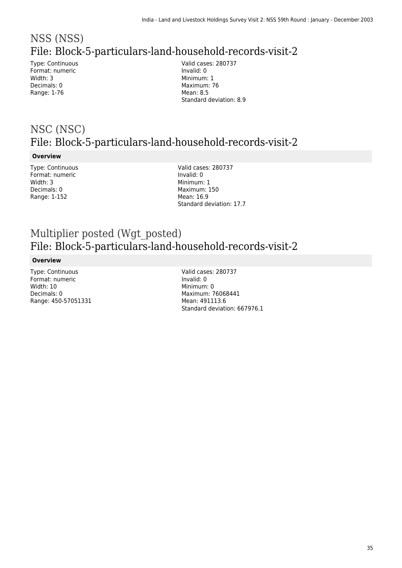## NSS (NSS) File: Block-5-particulars-land-household-records-visit-2

Type: Continuous Format: numeric Width: 3 Decimals: 0 Range: 1-76

Valid cases: 280737 Invalid: 0 Minimum: 1 Maximum: 76 Mean: 8.5 Standard deviation: 8.9

## NSC (NSC) File: Block-5-particulars-land-household-records-visit-2

### **Overview**

Type: Continuous Format: numeric Width: 3 Decimals: 0 Range: 1-152

Valid cases: 280737 Invalid: 0 Minimum: 1 Maximum: 150 Mean: 16.9 Standard deviation: 17.7

## Multiplier posted (Wgt\_posted) File: Block-5-particulars-land-household-records-visit-2

### **Overview**

Type: Continuous Format: numeric Width: 10 Decimals: 0 Range: 450-57051331 Valid cases: 280737 Invalid: 0 Minimum: 0 Maximum: 76068441 Mean: 491113.6 Standard deviation: 667976.1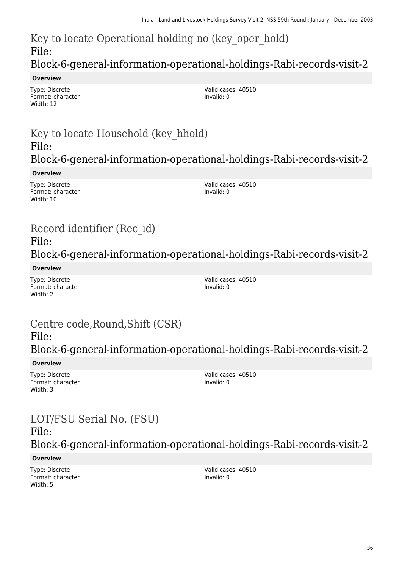### Key to locate Operational holding no (key\_oper\_hold) File: Block-6-general-information-operational-holdings-Rabi-records-visit-2

### **Overview**

Type: Discrete Format: character Width: 12

Valid cases: 40510 Invalid: 0

### Key to locate Household (key\_hhold) File: Block-6-general-information-operational-holdings-Rabi-records-visit-2

### **Overview**

Type: Discrete Format: character Width: 10

Valid cases: 40510 Invalid: 0

### Record identifier (Rec\_id) File: Block-6-general-information-operational-holdings-Rabi-records-visit-2

### **Overview**

Type: Discrete Format: character Width: 2

Valid cases: 40510 Invalid: 0

## Centre code,Round,Shift (CSR) File:

Block-6-general-information-operational-holdings-Rabi-records-visit-2

### **Overview**

Type: Discrete Format: character Width: 3

Valid cases: 40510 Invalid: 0

### LOT/FSU Serial No. (FSU) File: Block-6-general-information-operational-holdings-Rabi-records-visit-2

### **Overview**

Type: Discrete Format: character Width: 5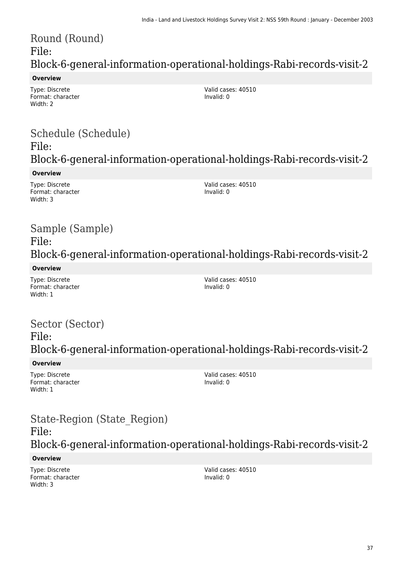### Round (Round) File: Block-6-general-information-operational-holdings-Rabi-records-visit-2

### **Overview**

Type: Discrete Format: character Width: 2

Valid cases: 40510 Invalid: 0

### Schedule (Schedule) File: Block-6-general-information-operational-holdings-Rabi-records-visit-2

### **Overview**

Type: Discrete Format: character Width: 3

Valid cases: 40510 Invalid: 0

## Sample (Sample) File: Block-6-general-information-operational-holdings-Rabi-records-visit-2

### **Overview**

Type: Discrete Format: character Width: 1

Valid cases: 40510 Invalid: 0

## Sector (Sector) File: Block-6-general-information-operational-holdings-Rabi-records-visit-2

### **Overview**

Type: Discrete Format: character Width: 1

Valid cases: 40510 Invalid: 0

### State-Region (State\_Region) File: Block-6-general-information-operational-holdings-Rabi-records-visit-2

### **Overview**

Type: Discrete Format: character Width: 3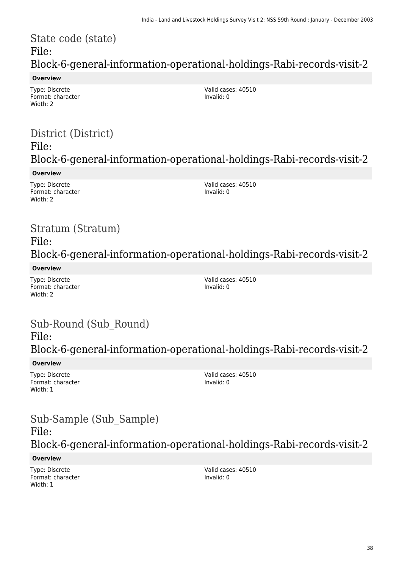### State code (state) File: Block-6-general-information-operational-holdings-Rabi-records-visit-2

### **Overview**

Type: Discrete Format: character Width: 2

Valid cases: 40510 Invalid: 0

## District (District) File: Block-6-general-information-operational-holdings-Rabi-records-visit-2

### **Overview**

Type: Discrete Format: character Width: 2

Valid cases: 40510 Invalid: 0

### Stratum (Stratum) File: Block-6-general-information-operational-holdings-Rabi-records-visit-2

### **Overview**

Type: Discrete Format: character Width: 2

Valid cases: 40510 Invalid: 0

### Sub-Round (Sub\_Round) File: Block-6-general-information-operational-holdings-Rabi-records-visit-2

### **Overview**

Type: Discrete Format: character Width: 1

Valid cases: 40510 Invalid: 0

### Sub-Sample (Sub\_Sample) File: Block-6-general-information-operational-holdings-Rabi-records-visit-2

### **Overview**

Type: Discrete Format: character Width: 1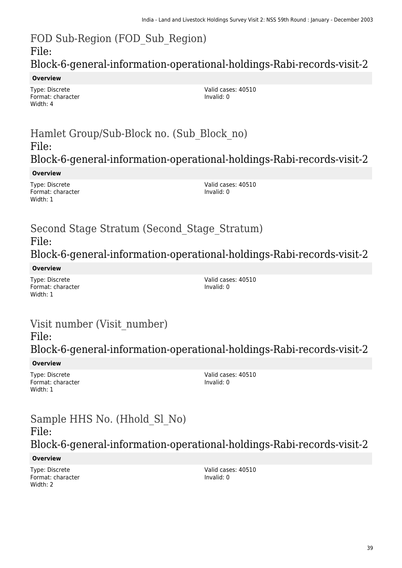### FOD Sub-Region (FOD\_Sub\_Region) File: Block-6-general-information-operational-holdings-Rabi-records-visit-2

#### **Overview**

Type: Discrete Format: character Width: 4

Valid cases: 40510 Invalid: 0

Hamlet Group/Sub-Block no. (Sub\_Block\_no) File: Block-6-general-information-operational-holdings-Rabi-records-visit-2

#### **Overview**

Type: Discrete Format: character Width: 1

Valid cases: 40510 Invalid: 0

### Second Stage Stratum (Second\_Stage\_Stratum) File: Block-6-general-information-operational-holdings-Rabi-records-visit-2

#### **Overview**

Type: Discrete Format: character Width: 1

Valid cases: 40510 Invalid: 0

### Visit number (Visit\_number) File: Block-6-general-information-operational-holdings-Rabi-records-visit-2

### **Overview**

Type: Discrete Format: character Width: 1

Valid cases: 40510 Invalid: 0

### Sample HHS No. (Hhold\_Sl\_No) File: Block-6-general-information-operational-holdings-Rabi-records-visit-2

#### **Overview**

Type: Discrete Format: character Width: 2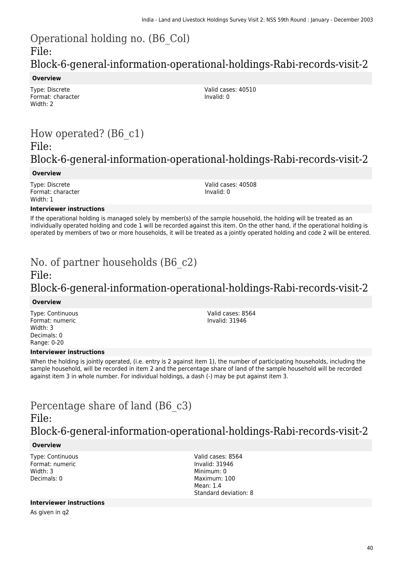## Operational holding no. (B6\_Col) File: Block-6-general-information-operational-holdings-Rabi-records-visit-2

#### **Overview**

Type: Discrete Format: character Width: 2

Valid cases: 40510 Invalid: 0

### How operated? (B6\_c1) File: Block-6-general-information-operational-holdings-Rabi-records-visit-2

#### **Overview**

Type: Discrete Format: character Width: 1

Valid cases: 40508 Invalid: 0

#### **Interviewer instructions**

If the operational holding is managed solely by member(s) of the sample household, the holding will be treated as an individually operated holding and code 1 will be recorded against this item. On the other hand, if the operational holding is operated by members of two or more households, it will be treated as a jointly operated holding and code 2 will be entered.

## No. of partner households (B6\_c2) File:

## Block-6-general-information-operational-holdings-Rabi-records-visit-2

### **Overview**

Type: Continuous Format: numeric Width: 3 Decimals: 0 Range: 0-20

Valid cases: 8564 Invalid: 31946

### **Interviewer instructions**

When the holding is jointly operated, (i.e. entry is 2 against item 1), the number of participating households, including the sample household, will be recorded in item 2 and the percentage share of land of the sample household will be recorded against item 3 in whole number. For individual holdings, a dash (-) may be put against item 3.

### Percentage share of land (B6\_c3) File: Block-6-general-information-operational-holdings-Rabi-records-visit-2

#### **Overview**

Type: Continuous Format: numeric Width: 3 Decimals: 0

Valid cases: 8564 Invalid: 31946 Minimum: 0 Maximum: 100  $M$ ean: 14 Standard deviation: 8

#### **Interviewer instructions**

As given in q2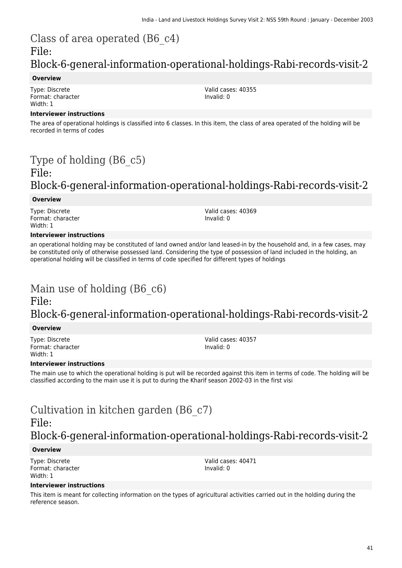### Class of area operated (B6\_c4) File: Block-6-general-information-operational-holdings-Rabi-records-visit-2

#### **Overview**

Type: Discrete Format: character Width: 1

Valid cases: 40355 Invalid: 0

#### **Interviewer instructions**

The area of operational holdings is classified into 6 classes. In this item, the class of area operated of the holding will be recorded in terms of codes

## Type of holding (B6\_c5) File: Block-6-general-information-operational-holdings-Rabi-records-visit-2

#### **Overview**

Type: Discrete Format: character Width: 1

Valid cases: 40369 Invalid: 0

#### **Interviewer instructions**

an operational holding may be constituted of land owned and/or land leased-in by the household and, in a few cases, may be constituted only of otherwise possessed land. Considering the type of possession of land included in the holding, an operational holding will be classified in terms of code specified for different types of holdings

## Main use of holding (B6\_c6)

### File:

## Block-6-general-information-operational-holdings-Rabi-records-visit-2

#### **Overview**

Type: Discrete Format: character Width: 1

Valid cases: 40357 Invalid: 0

#### **Interviewer instructions**

The main use to which the operational holding is put will be recorded against this item in terms of code. The holding will be classified according to the main use it is put to during the Kharif season 2002-03 in the first visi

## Cultivation in kitchen garden (B6\_c7) File: Block-6-general-information-operational-holdings-Rabi-records-visit-2

#### **Overview**

Type: Discrete Format: character Width: 1

Valid cases: 40471 Invalid: 0

#### **Interviewer instructions**

This item is meant for collecting information on the types of agricultural activities carried out in the holding during the reference season.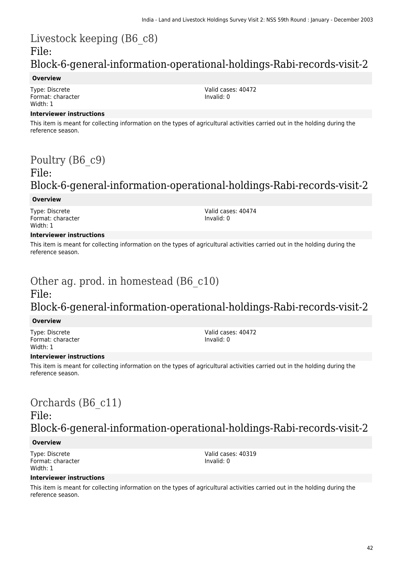### Livestock keeping (B6\_c8) File: Block-6-general-information-operational-holdings-Rabi-records-visit-2

### **Overview**

Type: Discrete Format: character Width: 1

Valid cases: 40472 Invalid: 0

### **Interviewer instructions**

This item is meant for collecting information on the types of agricultural activities carried out in the holding during the reference season.

## Poultry (B6\_c9) File: Block-6-general-information-operational-holdings-Rabi-records-visit-2

### **Overview**

Type: Discrete Format: character Width: 1

Valid cases: 40474 Invalid: 0

#### **Interviewer instructions**

This item is meant for collecting information on the types of agricultural activities carried out in the holding during the reference season.

### Other ag. prod. in homestead (B6\_c10) File: Block-6-general-information-operational-holdings-Rabi-records-visit-2

#### **Overview**

Type: Discrete Format: character Width: 1

Valid cases: 40472 Invalid: 0

### **Interviewer instructions**

This item is meant for collecting information on the types of agricultural activities carried out in the holding during the reference season.

## Orchards (B6\_c11) File: Block-6-general-information-operational-holdings-Rabi-records-visit-2

#### **Overview**

Type: Discrete Format: character Width: 1

Valid cases: 40319 Invalid: 0

#### **Interviewer instructions**

This item is meant for collecting information on the types of agricultural activities carried out in the holding during the reference season.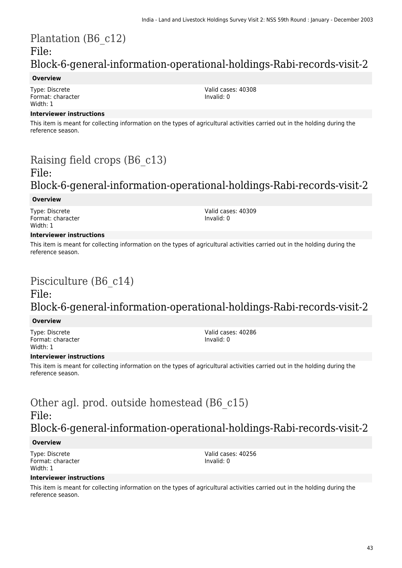### Plantation (B6\_c12) File: Block-6-general-information-operational-holdings-Rabi-records-visit-2

### **Overview**

Type: Discrete Format: character Width: 1

Valid cases: 40308 Invalid: 0

### **Interviewer instructions**

This item is meant for collecting information on the types of agricultural activities carried out in the holding during the reference season.

## Raising field crops (B6\_c13) File: Block-6-general-information-operational-holdings-Rabi-records-visit-2

#### **Overview**

Type: Discrete Format: character Width: 1

Valid cases: 40309 Invalid: 0

#### **Interviewer instructions**

This item is meant for collecting information on the types of agricultural activities carried out in the holding during the reference season.

## Pisciculture (B6\_c14)

## File: Block-6-general-information-operational-holdings-Rabi-records-visit-2

#### **Overview**

Type: Discrete Format: character Width: 1

Valid cases: 40286 Invalid: 0

#### **Interviewer instructions**

This item is meant for collecting information on the types of agricultural activities carried out in the holding during the reference season.

### Other agl. prod. outside homestead (B6\_c15) File: Block-6-general-information-operational-holdings-Rabi-records-visit-2

#### **Overview**

Type: Discrete Format: character Width: 1

Valid cases: 40256 Invalid: 0

#### **Interviewer instructions**

This item is meant for collecting information on the types of agricultural activities carried out in the holding during the reference season.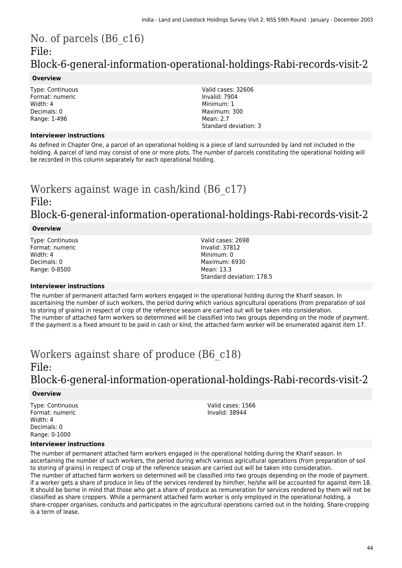### No. of parcels (B6\_c16) File: Block-6-general-information-operational-holdings-Rabi-records-visit-2

#### **Overview**

Type: Continuous Format: numeric Width: 4 Decimals: 0 Range: 1-496

#### **Interviewer instructions**

Valid cases: 32606 Invalid: 7904 Minimum: 1 Maximum: 300  $Mean: 2.7$ Standard deviation: 3

As defined in Chapter One, a parcel of an operational holding is a piece of land surrounded by land not included in the holding. A parcel of land may consist of one or more plots. The number of parcels constituting the operational holding will be recorded in this column separately for each operational holding.

## Workers against wage in cash/kind (B6\_c17) File: Block-6-general-information-operational-holdings-Rabi-records-visit-2

#### **Overview**

Type: Continuous Format: numeric Width: 4 Decimals: 0 Range: 0-8500

Valid cases: 2698 Invalid: 37812 Minimum: 0 Maximum: 6930 Mean: 13.3 Standard deviation: 178.5

#### **Interviewer instructions**

The number of permanent attached farm workers engaged in the operational holding during the Kharif season. In ascertaining the number of such workers, the period during which various agricultural operations (from preparation of soil to storing of grains) in respect of crop of the reference season are carried out will be taken into consideration. The number of attached farm workers so determined will be classified into two groups depending on the mode of payment. If the payment is a fixed amount to be paid in cash or kind, the attached farm worker will be enumerated against item 17.

## Workers against share of produce (B6\_c18) File: Block-6-general-information-operational-holdings-Rabi-records-visit-2

#### **Overview**

Type: Continuous Format: numeric Width: 4 Decimals: 0 Range: 0-1000

Valid cases: 1566 Invalid: 38944

#### **Interviewer instructions**

The number of permanent attached farm workers engaged in the operational holding during the Kharif season. In ascertaining the number of such workers, the period during which various agricultural operations (from preparation of soil to storing of grains) in respect of crop of the reference season are carried out will be taken into consideration. The number of attached farm workers so determined will be classified into two groups depending on the mode of payment. if a worker gets a share of produce in lieu of the services rendered by him/her, he/she will be accounted for against item 18. It should be borne in mind that those who get a share of produce as remuneration for services rendered by them will not be classified as share croppers. While a permanent attached farm worker is only employed in the operational holding, a share-cropper organises, conducts and participates in the agricultural operations carried out in the holding. Share-cropping is a term of lease.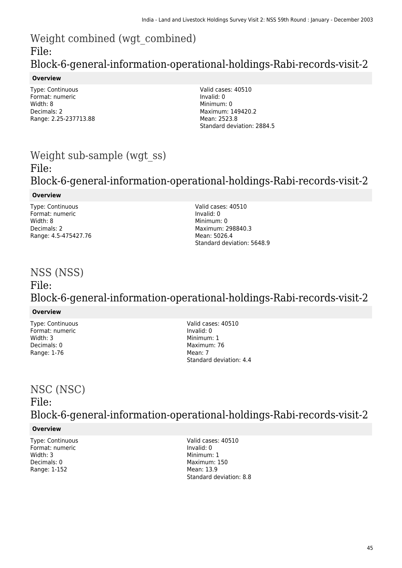### Weight combined (wgt\_combined) File: Block-6-general-information-operational-holdings-Rabi-records-visit-2

### **Overview**

Type: Continuous Format: numeric Width: 8 Decimals: 2 Range: 2.25-237713.88 Valid cases: 40510 Invalid: 0 Minimum: 0 Maximum: 149420.2 Mean: 2523.8 Standard deviation: 2884.5

### Weight sub-sample (wgt\_ss) File: Block-6-general-information-operational-holdings-Rabi-records-visit-2

### **Overview**

Type: Continuous Format: numeric Width: 8 Decimals: 2 Range: 4.5-475427.76 Valid cases: 40510 Invalid: 0 Minimum: 0 Maximum: 298840.3 Mean: 5026.4 Standard deviation: 5648.9

### NSS (NSS)

## File: Block-6-general-information-operational-holdings-Rabi-records-visit-2

### **Overview**

Type: Continuous Format: numeric Width: 3 Decimals: 0 Range: 1-76

Valid cases: 40510 Invalid: 0 Minimum: 1 Maximum: 76 Mean: 7 Standard deviation: 4.4

## NSC (NSC)

## File: Block-6-general-information-operational-holdings-Rabi-records-visit-2

### **Overview**

Type: Continuous Format: numeric Width: 3 Decimals: 0 Range: 1-152

Valid cases: 40510 Invalid: 0 Minimum: 1 Maximum: 150 Mean: 13.9 Standard deviation: 8.8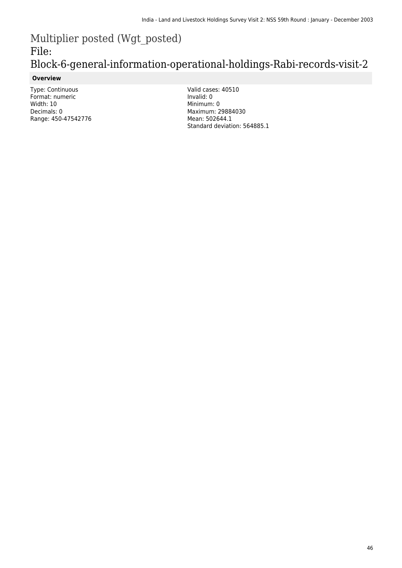## Multiplier posted (Wgt\_posted) File: Block-6-general-information-operational-holdings-Rabi-records-visit-2

#### **Overview**

Type: Continuous Format: numeric Width: 10 Decimals: 0 Range: 450-47542776 Valid cases: 40510 Invalid: 0 Minimum: 0 Maximum: 29884030 Mean: 502644.1 Standard deviation: 564885.1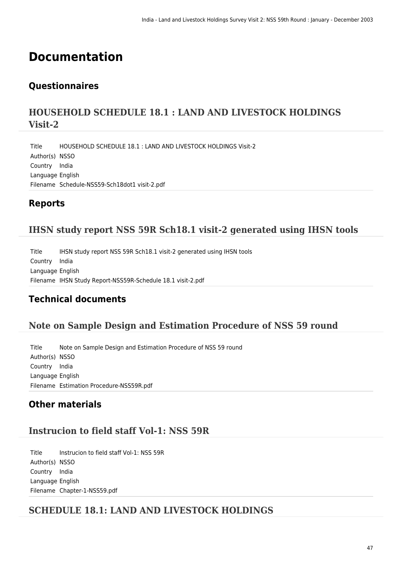## **Documentation**

### **Questionnaires**

### **HOUSEHOLD SCHEDULE 18.1 : LAND AND LIVESTOCK HOLDINGS Visit-2**

Title HOUSEHOLD SCHEDULE 18.1 : LAND AND LIVESTOCK HOLDINGS Visit-2 Author(s) NSSO Country India Language English Filename Schedule-NSS59-Sch18dot1 visit-2.pdf

### **Reports**

### **IHSN study report NSS 59R Sch18.1 visit-2 generated using IHSN tools**

Title IHSN study report NSS 59R Sch18.1 visit-2 generated using IHSN tools Country India Language English Filename IHSN Study Report-NSS59R-Schedule 18.1 visit-2.pdf

### **Technical documents**

### **Note on Sample Design and Estimation Procedure of NSS 59 round**

Title Note on Sample Design and Estimation Procedure of NSS 59 round Author(s) NSSO Country India Language English Filename Estimation Procedure-NSS59R.pdf

### **Other materials**

### **Instrucion to field staff Vol-1: NSS 59R**

Title Instrucion to field staff Vol-1: NSS 59R Author(s) NSSO Country India Language English Filename Chapter-1-NSS59.pdf

### **SCHEDULE 18.1: LAND AND LIVESTOCK HOLDINGS**